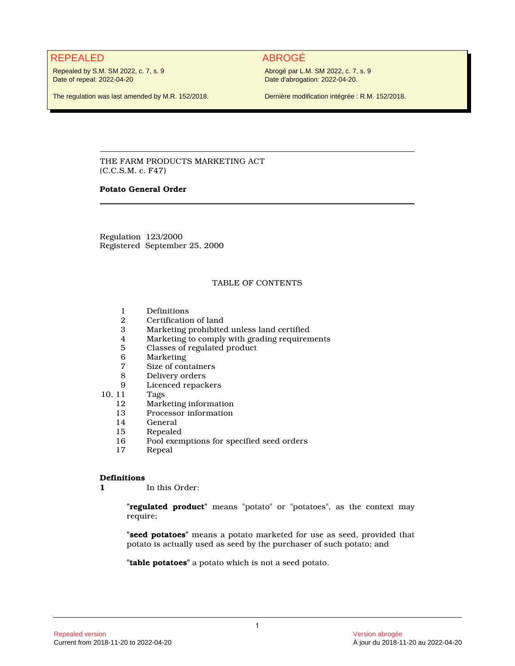# REPEALED ABROGÉ

Repealed by S.M. SM 2022, c. 7, s. 9 Date of repeal: 2022-04-20

Abrogé par L.M. SM 2022, c. 7, s. 9 Date d'abrogation: 2022-04-20.

The regulation was last amended by M.R. 152/2018.

Dernière modification intégrée : R.M. 152/2018.

THE FARM PRODUCTS MARKETING ACT (C.C.S.M. c. F47)

# **Potato General Order**

Regulation 123/2000 Registered September 25, 2000

# TABLE OF CONTENTS

- 1 Definitions<br>2 Certification
- 2 Certification of land
- 3 Marketing prohibited unless land certified
- 4 Marketing to comply with grading requirements
- 5 Classes of regulated product
- 
- 6 Marketing 7 Size of containers
- 8 Delivery orders<br>9 Licenced repack
- Licenced repackers
- 10, 11 Tags<br>12 Mark
	- 12 Marketing information<br>13 Processor information
	- 13 Processor information<br>14 General
	- 14 General<br>15 Repeale
	- 15 Repealed<br>16 Pool exen
	- 16 Pool exemptions for specified seed orders<br>17 Repeal
	- **Repeal**

#### **Definitions**

**1** In this Order:

**"regulated product"** means "potato" or "potatoes", as the context may require;

**"seed potatoes"** means a potato marketed for use as seed, provided that potato is actually used as seed by the purchaser of such potato; and

**"table potatoes"** a potato which is not a seed potato.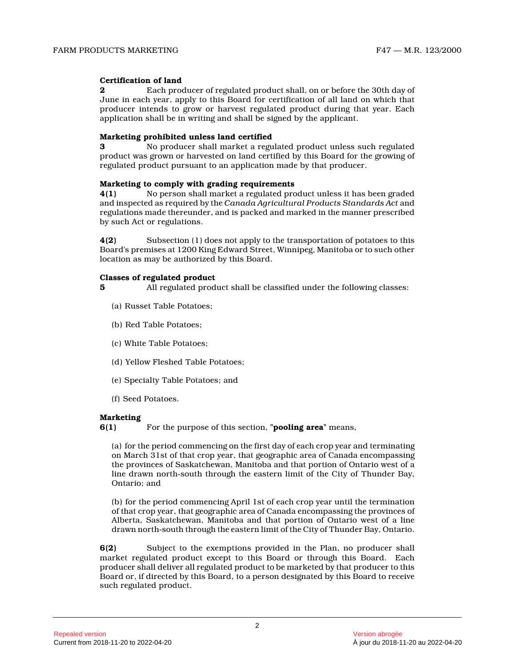# **Certification of land**

**2** Each producer of regulated product shall, on or before the 30th day of June in each year, apply to this Board for certification of all land on which that producer intends to grow or harvest regulated product during that year. Each application shall be in writing and shall be signed by the applicant.

### **Marketing prohibited unless land certified**

**3** No producer shall market a regulated product unless such regulated product was grown or harvested on land certified by this Board for the growing of regulated product pursuant to an application made by that producer.

#### **Marketing to comply with grading requirements**

**4(1)** No person shall market a regulated product unless it has been graded and inspected as required by the *Canada Agricultural Products Standards Act* and regulations made thereunder, and is packed and marked in the manner prescribed by such Act or regulations.

**4(2)** Subsection (1) does not apply to the transportation of potatoes to this Board's premises at 1200 King Edward Street, Winnipeg, Manitoba or to such other location as may be authorized by this Board.

#### **Classes of regulated product**

**5** All regulated product shall be classified under the following classes:

- (a) Russet Table Potatoes;
- (b) Red Table Potatoes;
- (c) White Table Potatoes;
- (d) Yellow Fleshed Table Potatoes;
- (e) Specialty Table Potatoes; and
- (f) Seed Potatoes.

## **Marketing**

**6(1)** For the purpose of this section, **"pooling area"** means,

(a) for the period commencing on the first day of each crop year and terminating on March 31st of that crop year, that geographic area of Canada encompassing the provinces of Saskatchewan, Manitoba and that portion of Ontario west of a line drawn north-south through the eastern limit of the City of Thunder Bay, Ontario; and

(b) for the period commencing April 1st of each crop year until the termination of that crop year, that geographic area of Canada encompassing the provinces of Alberta, Saskatchewan, Manitoba and that portion of Ontario west of a line drawn north-south through the eastern limit of the City of Thunder Bay, Ontario.

**6(2)** Subject to the exemptions provided in the Plan, no producer shall market regulated product except to this Board or through this Board. Each producer shall deliver all regulated product to be marketed by that producer to this Board or, if directed by this Board, to a person designated by this Board to receive such regulated product.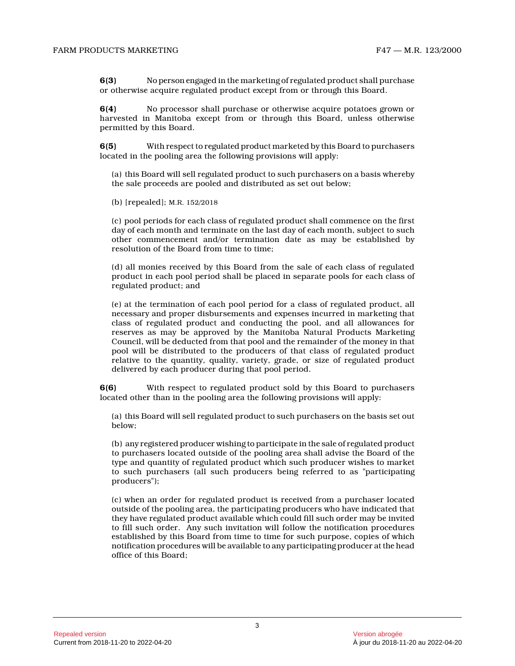**6(3)** No person engaged in the marketing of regulated product shall purchase or otherwise acquire regulated product except from or through this Board.

**6(4)** No processor shall purchase or otherwise acquire potatoes grown or harvested in Manitoba except from or through this Board, unless otherwise permitted by this Board.

**6(5)** With respect to regulated product marketed by this Board to purchasers located in the pooling area the following provisions will apply:

(a) this Board will sell regulated product to such purchasers on a basis whereby the sale proceeds are pooled and distributed as set out below;

(b) [repealed]; M.R. 152/2018

(c) pool periods for each class of regulated product shall commence on the first day of each month and terminate on the last day of each month, subject to such other commencement and/or termination date as may be established by resolution of the Board from time to time;

(d) all monies received by this Board from the sale of each class of regulated product in each pool period shall be placed in separate pools for each class of regulated product; and

(e) at the termination of each pool period for a class of regulated product, all necessary and proper disbursements and expenses incurred in marketing that class of regulated product and conducting the pool, and all allowances for reserves as may be approved by the Manitoba Natural Products Marketing Council, will be deducted from that pool and the remainder of the money in that pool will be distributed to the producers of that class of regulated product relative to the quantity, quality, variety, grade, or size of regulated product delivered by each producer during that pool period.

**6(6)** With respect to regulated product sold by this Board to purchasers located other than in the pooling area the following provisions will apply:

(a) this Board will sell regulated product to such purchasers on the basis set out below;

(b) any registered producer wishing to participate in the sale of regulated product to purchasers located outside of the pooling area shall advise the Board of the type and quantity of regulated product which such producer wishes to market to such purchasers (all such producers being referred to as "participating producers");

(c) when an order for regulated product is received from a purchaser located outside of the pooling area, the participating producers who have indicated that they have regulated product available which could fill such order may be invited to fill such order. Any such invitation will follow the notification procedures established by this Board from time to time for such purpose, copies of which notification procedures will be available to any participating producer at the head office of this Board;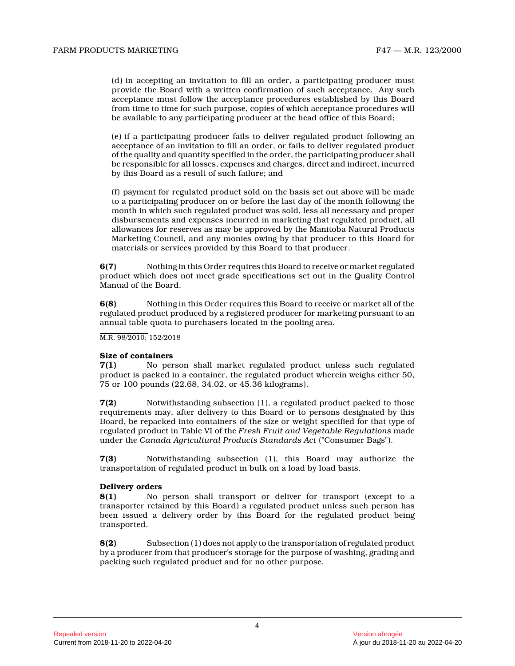(d) in accepting an invitation to fill an order, a participating producer must provide the Board with a written confirmation of such acceptance. Any such acceptance must follow the acceptance procedures established by this Board from time to time for such purpose, copies of which acceptance procedures will be available to any participating producer at the head office of this Board;

(e) if a participating producer fails to deliver regulated product following an acceptance of an invitation to fill an order, or fails to deliver regulated product of the quality and quantity specified in the order, the participating producer shall be responsible for all losses, expenses and charges, direct and indirect, incurred by this Board as a result of such failure; and

(f) payment for regulated product sold on the basis set out above will be made to a participating producer on or before the last day of the month following the month in which such regulated product was sold, less all necessary and proper disbursements and expenses incurred in marketing that regulated product, all allowances for reserves as may be approved by the Manitoba Natural Products Marketing Council, and any monies owing by that producer to this Board for materials or services provided by this Board to that producer.

**6(7)** Nothing in this Order requires this Board to receive or market regulated product which does not meet grade specifications set out in the Quality Control Manual of the Board.

**6(8)** Nothing in this Order requires this Board to receive or market all of the regulated product produced by a registered producer for marketing pursuant to an annual table quota to purchasers located in the pooling area.

M.R. 98/2010; 152/2018

#### **Size of containers**

**7(1)** No person shall market regulated product unless such regulated product is packed in a container, the regulated product wherein weighs either 50, 75 or 100 pounds (22.68, 34.02, or 45.36 kilograms) .

**7(2)** Notwithstanding subsection (1), a regulated product packed to those requirements may, after delivery to this Board or to persons designated by this Board, be repacked into containers of the size or weight specified for that type of regulated product in Table VI of the *Fresh Fruit and Vegetable Regulations* made under the *Canada Agricultural Products Standards Act* ("Consumer Bags").

**7(3)** Notwithstanding subsection (1), this Board may authorize the transportation of regulated product in bulk on a load by load basis.

#### **Delivery orders**

**8(1)** No person shall transport or deliver for transport (except to a transporter retained by this Board) a regulated product unless such person has been issued a delivery order by this Board for the regulated product being transported.

**8(2)** Subsection (1) does not apply to the transportation of regulated product by a producer from that producer's storage for the purpose of washing, grading and packing such regulated product and for no other purpose.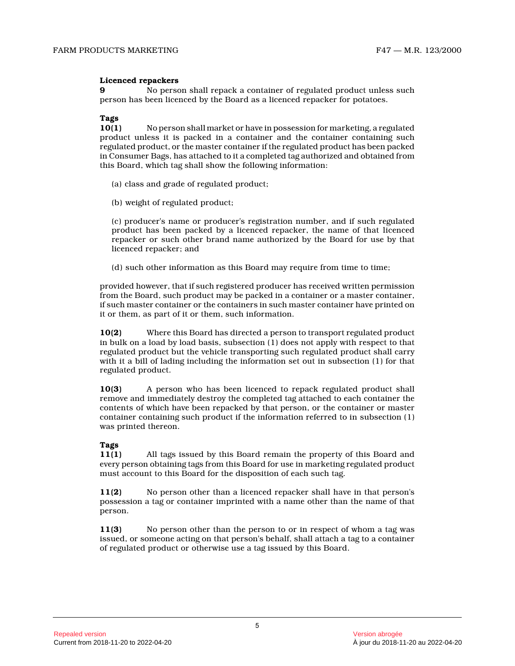# **Licenced repackers**

**9** No person shall repack a container of regulated product unless such person has been licenced by the Board as a licenced repacker for potatoes.

#### **Tags**

**10(1)** No person shall market or have in possession for marketing, a regulated product unless it is packed in a container and the container containing such regulated product, or the master container if the regulated product has been packed in Consumer Bags, has attached to it a completed tag authorized and obtained from this Board, which tag shall show the following information:

- (a) class and grade of regulated product;
- (b) weight of regulated product;

(c) producer's name or producer's registration number, and if such regulated product has been packed by a licenced repacker, the name of that licenced repacker or such other brand name authorized by the Board for use by that licenced repacker; and

(d) such other information as this Board may require from time to time;

provided however, that if such registered producer has received written permission from the Board, such product may be packed in a container or a master container, if such master container or the containers in such master container have printed on it or them, as part of it or them, such information .

**10(2)** Where this Board has directed a person to transport regulated product in bulk on a load by load basis, subsection (1) does not apply with respect to that regulated product but the vehicle transporting such regulated product shall carry with it a bill of lading including the information set out in subsection (1) for that regulated product.

**10(3)** A person who has been licenced to repack regulated product shall remove and immediately destroy the completed tag attached to each container the contents of which have been repacked by that person, or the container or master container containing such product if the information referred to in subsection (1) was printed thereon.

# **Tags**

**11(1)** All tags issued by this Board remain the property of this Board and every person obtaining tags from this Board for use in marketing regulated product must account to this Board for the disposition of each such tag.

**11(2)** No person other than a licenced repacker shall have in that person's possession a tag or container imprinted with a name other than the name of that person.

**11(3)** No person other than the person to or in respect of whom a tag was issued, or someone acting on that person's behalf, shall attach a tag to a container of regulated product or otherwise use a tag issued by this Board.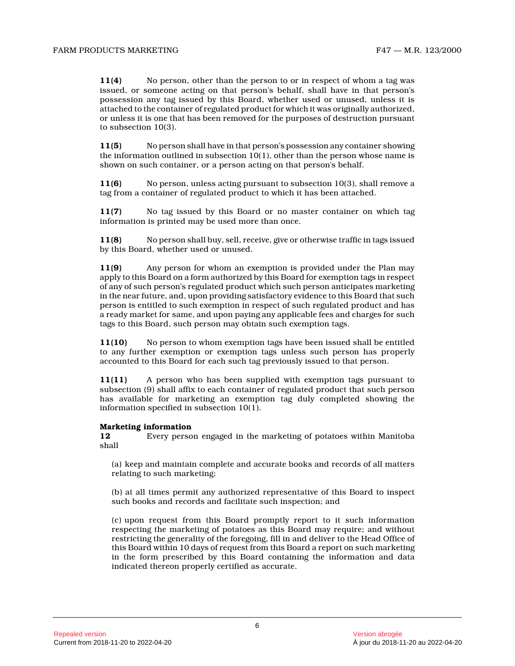**11(4)** No person, other than the person to or in respect of whom a tag was issued, or someone acting on that person's behalf, shall have in that person's possession any tag issued by this Board, whether used or unused, unless it is attached to the container of regulated product for which it was originally authorized, or unless it is one that has been removed for the purposes of destruction pursuant to subsection 10(3).

**11(5)** No person shall have in that person's possession any container showing the information outlined in subsection  $10(1)$ , other than the person whose name is shown on such container, or a person acting on that person's behalf.

**11(6)** No person, unless acting pursuant to subsection 10(3), shall remove a tag from a container of regulated product to which it has been attached.

**11(7)** No tag issued by this Board or no master container on which tag information is printed may be used more than once.

**11(8)** No person shall buy, sell, receive, give or otherwise traffic in tags issued by this Board, whether used or unused.

**11(9)** Any person for whom an exemption is provided under the Plan may apply to this Board on a form authorized by this Board for exemption tags in respect of any of such person's regulated product which such person anticipates marketing in the near future, and, upon providing satisfactory evidence to this Board that such person is entitled to such exemption in respect of such regulated product and has a ready market for same, and upon paying any applicable fees and charges for such tags to this Board, such person may obtain such exemption tags.

**11(10)** No person to whom exemption tags have been issued shall be entitled to any further exemption or exemption tags unless such person has properly accounted to this Board for each such tag previously issued to that person.

**11(11)** A person who has been supplied with exemption tags pursuant to subsection (9) shall affix to each container of regulated product that such person has available for marketing an exemption tag duly completed showing the information specified in subsection 10(1).

#### **Marketing information**

**12** Every person engaged in the marketing of potatoes within Manitoba shall

(a) keep and maintain complete and accurate books and records of all matters relating to such marketing;

(b) at all times permit any authorized representative of this Board to inspect such books and records and facilitate such inspection; and

(c) upon request from this Board promptly report to it such information respecting the marketing of potatoes as this Board may require; and without restricting the generality of the foregoing, fill in and deliver to the Head Office of this Board within 10 days of request from this Board a report on such marketing in the form prescribed by this Board containing the information and data indicated thereon properly certified as accurate.